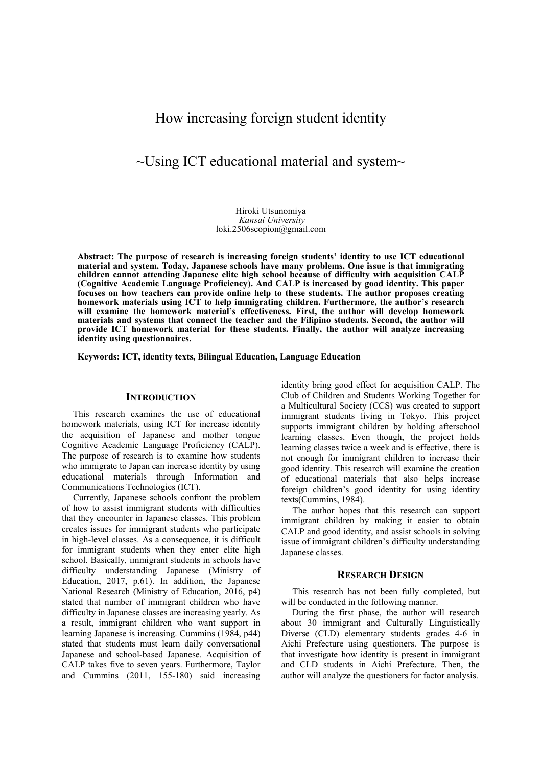# How increasing foreign student identity

# $\sim$ Using ICT educational material and system $\sim$

Hiroki Utsunomiya *Kansai University*  loki.2506scopion@gmail.com

**Abstract: The purpose of research is increasing foreign students' identity to use ICT educational material and system. Today, Japanese schools have many problems. One issue is that immigrating children cannot attending Japanese elite high school because of difficulty with acquisition CALP (Cognitive Academic Language Proficiency). And CALP is increased by good identity. This paper focuses on how teachers can provide online help to these students. The author proposes creating homework materials using ICT to help immigrating children. Furthermore, the author's research will examine the homework material's effectiveness. First, the author will develop homework materials and systems that connect the teacher and the Filipino students. Second, the author will provide ICT homework material for these students. Finally, the author will analyze increasing identity using questionnaires.** 

**Keywords: ICT, identity texts, Bilingual Education, Language Education** 

### **INTRODUCTION**

This research examines the use of educational homework materials, using ICT for increase identity the acquisition of Japanese and mother tongue Cognitive Academic Language Proficiency (CALP). The purpose of research is to examine how students who immigrate to Japan can increase identity by using educational materials through Information and Communications Technologies (ICT).

Currently, Japanese schools confront the problem of how to assist immigrant students with difficulties that they encounter in Japanese classes. This problem creates issues for immigrant students who participate in high-level classes. As a consequence, it is difficult for immigrant students when they enter elite high school. Basically, immigrant students in schools have difficulty understanding Japanese (Ministry of Education, 2017, p.61). In addition, the Japanese National Research (Ministry of Education, 2016, p4) stated that number of immigrant children who have difficulty in Japanese classes are increasing yearly. As a result, immigrant children who want support in learning Japanese is increasing. Cummins (1984, p44) stated that students must learn daily conversational Japanese and school-based Japanese. Acquisition of CALP takes five to seven years. Furthermore, Taylor and Cummins (2011, 155-180) said increasing

identity bring good effect for acquisition CALP. The Club of Children and Students Working Together for a Multicultural Society (CCS) was created to support immigrant students living in Tokyo. This project supports immigrant children by holding afterschool learning classes. Even though, the project holds learning classes twice a week and is effective, there is not enough for immigrant children to increase their good identity. This research will examine the creation of educational materials that also helps increase foreign children's good identity for using identity texts(Cummins, 1984).

The author hopes that this research can support immigrant children by making it easier to obtain CALP and good identity, and assist schools in solving issue of immigrant children's difficulty understanding Japanese classes.

#### **RESEARCH DESIGN**

This research has not been fully completed, but will be conducted in the following manner.

During the first phase, the author will research about 30 immigrant and Culturally Linguistically Diverse (CLD) elementary students grades 4-6 in Aichi Prefecture using questioners. The purpose is that investigate how identity is present in immigrant and CLD students in Aichi Prefecture. Then, the author will analyze the questioners for factor analysis.